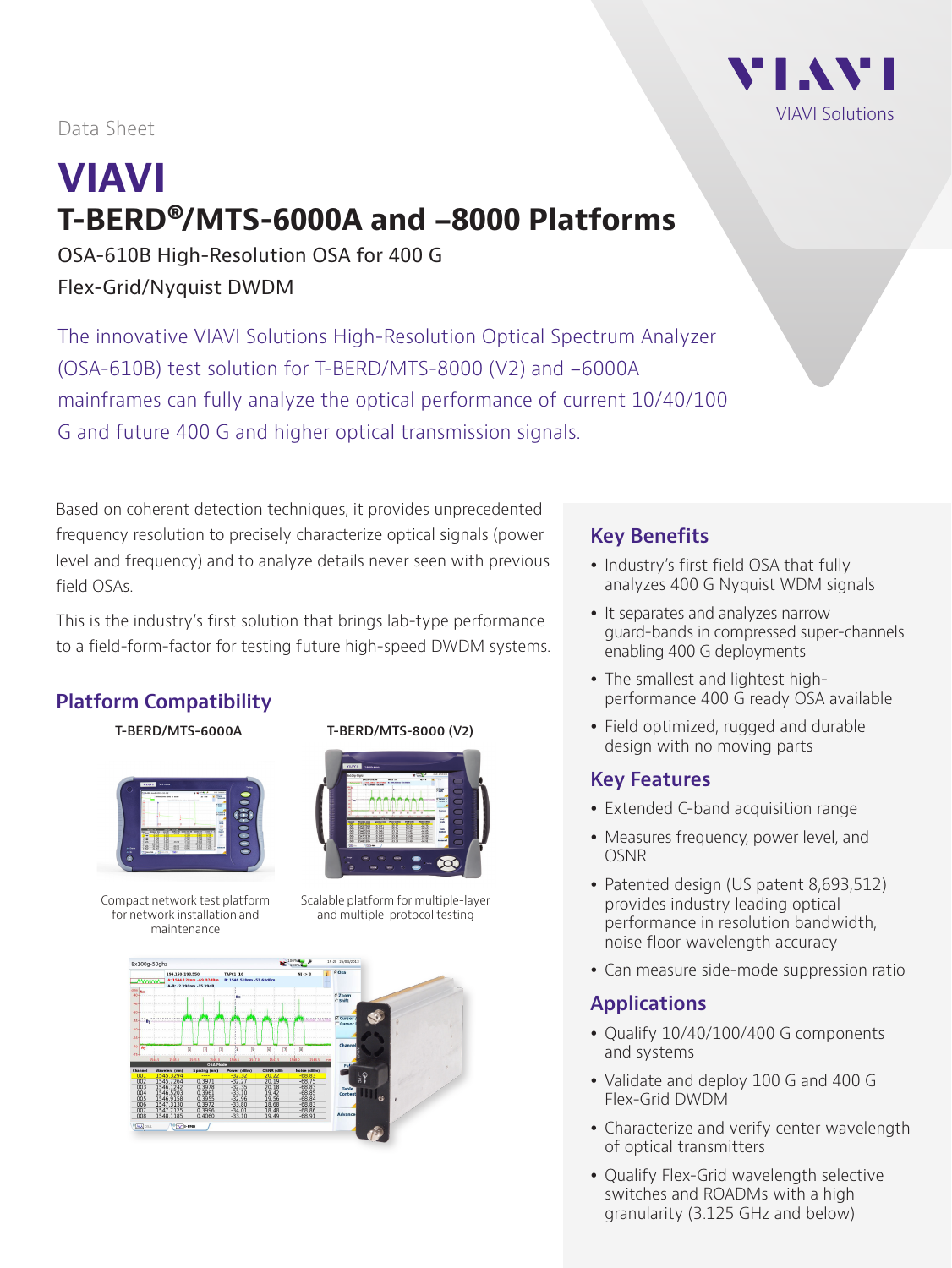

#### Data Sheet

# **VIAVI T-BERD®/MTS-6000A and -8000 Platforms**

OSA-610B High-Resolution OSA for 400 G Flex-Grid/Nyquist DWDM

The innovative VIAVI Solutions High-Resolution Optical Spectrum Analyzer (OSA-610B) test solution for T-BERD/MTS-8000 (V2) and -6000A mainframes can fully analyze the optical performance of current 10/40/100 G and future 400 G and higher optical transmission signals.

Based on coherent detection techniques, it provides unprecedented frequency resolution to precisely characterize optical signals (power level and frequency) and to analyze details never seen with previous field OSAs.

This is the industry's first solution that brings lab-type performance to a field-form-factor for testing future high-speed DWDM systems.

# **Platform Compatibility**



Compact network test platform for network installation and maintenance

#### **T-BERD/MTS-6000A T-BERD/MTS-8000 (V2)**



Scalable platform for multiple-layer and multiple-protocol testing



### **Key Benefits**

- Industry's first field OSA that fully analyzes 400 G Nyquist WDM signals
- It separates and analyzes narrow guard-bands in compressed super-channels enabling 400 G deployments
- The smallest and lightest highperformance 400 G ready OSA available
- Field optimized, rugged and durable design with no moving parts

## **Key Features**

- Extended C-band acquisition range
- Measures frequency, power level, and OSNR
- Patented design (US patent 8,693,512) provides industry leading optical performance in resolution bandwidth, noise floor wavelength accuracy
- Can measure side-mode suppression ratio

#### **Applications**

- Qualify 10/40/100/400 G components and systems
- Validate and deploy 100 G and 400 G Flex-Grid DWDM
- Characterize and verify center wavelength of optical transmitters
- Qualify Flex-Grid wavelength selective switches and ROADMs with a high granularity (3.125 GHz and below)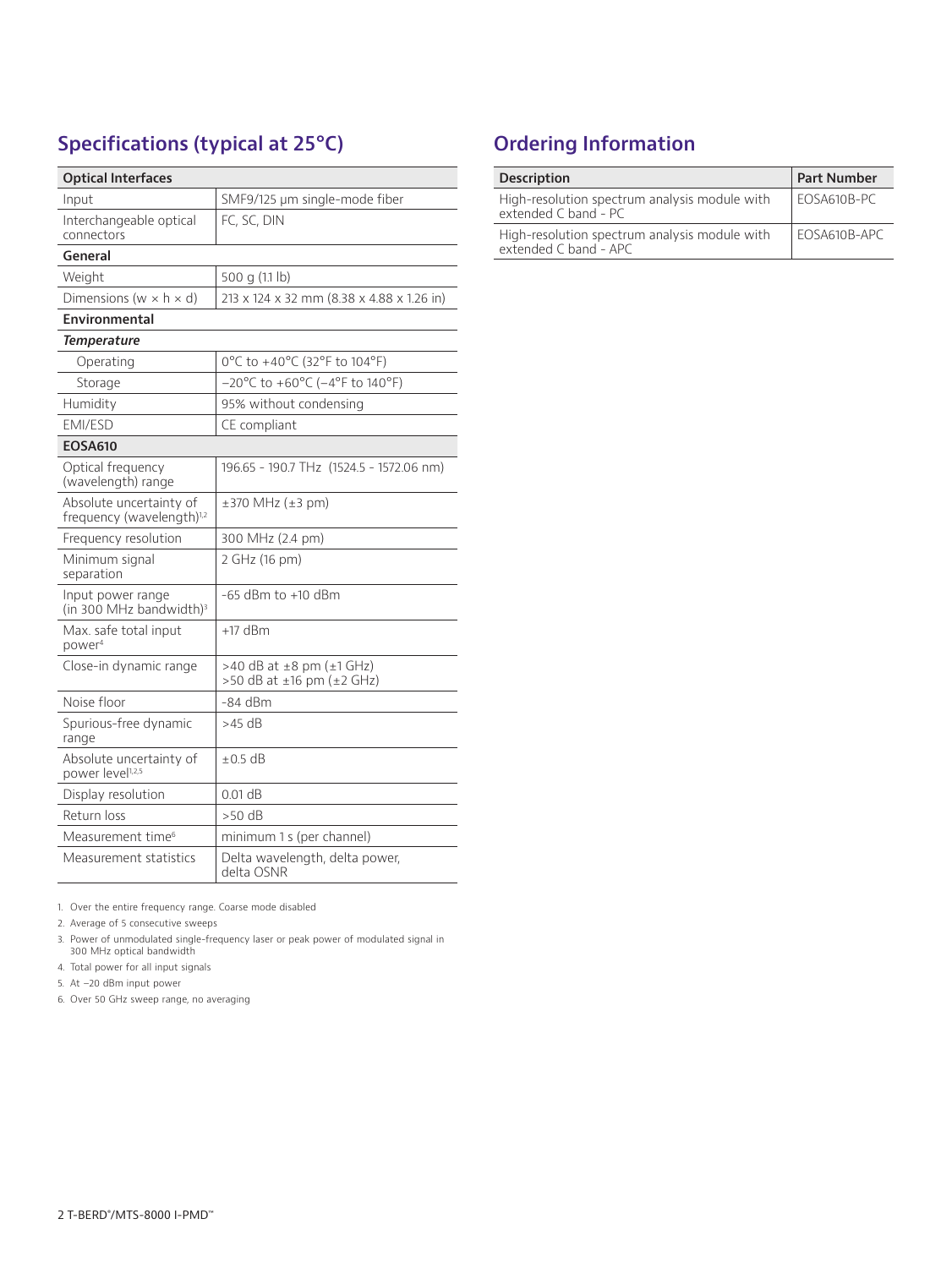# **Specifications (typical at 25°C)**

| <b>Optical Interfaces</b>                                        |                                                                  |  |  |  |  |  |  |
|------------------------------------------------------------------|------------------------------------------------------------------|--|--|--|--|--|--|
| Input                                                            | SMF9/125 µm single-mode fiber                                    |  |  |  |  |  |  |
| Interchangeable optical<br>connectors                            | FC, SC, DIN                                                      |  |  |  |  |  |  |
| General                                                          |                                                                  |  |  |  |  |  |  |
| Weight                                                           | 500 g (1.1 lb)                                                   |  |  |  |  |  |  |
| Dimensions (w $\times$ h $\times$ d)                             | 213 x 124 x 32 mm (8.38 x 4.88 x 1.26 in)                        |  |  |  |  |  |  |
| Environmental                                                    |                                                                  |  |  |  |  |  |  |
| <b>Temperature</b>                                               |                                                                  |  |  |  |  |  |  |
| Operating                                                        | 0°C to +40°C (32°F to 104°F)                                     |  |  |  |  |  |  |
| Storage                                                          | $-20^{\circ}$ C to +60°C ( $-4^{\circ}$ F to 140°F)              |  |  |  |  |  |  |
| Humidity                                                         | 95% without condensing                                           |  |  |  |  |  |  |
| EMI/ESD                                                          | CE compliant                                                     |  |  |  |  |  |  |
| <b>EOSA610</b>                                                   |                                                                  |  |  |  |  |  |  |
| Optical frequency<br>(wavelength) range                          | 196.65 - 190.7 THz (1524.5 - 1572.06 nm)                         |  |  |  |  |  |  |
| Absolute uncertainty of<br>frequency (wavelength) <sup>1,2</sup> | $\pm$ 370 MHz ( $\pm$ 3 pm)                                      |  |  |  |  |  |  |
| Frequency resolution                                             | 300 MHz (2.4 pm)                                                 |  |  |  |  |  |  |
| Minimum signal<br>separation                                     | 2 GHz (16 pm)                                                    |  |  |  |  |  |  |
| Input power range<br>(in 300 MHz bandwidth) <sup>3</sup>         | -65 dBm to +10 dBm                                               |  |  |  |  |  |  |
| Max. safe total input<br>power <sup>4</sup>                      | $+17$ dBm                                                        |  |  |  |  |  |  |
| Close-in dynamic range                                           | >40 dB at $\pm 8$ pm ( $\pm 1$ GHz)<br>>50 dB at ±16 pm (±2 GHz) |  |  |  |  |  |  |
| Noise floor                                                      | -84 dBm                                                          |  |  |  |  |  |  |
| Spurious-free dynamic<br>range                                   | >45 dB                                                           |  |  |  |  |  |  |
| Absolute uncertainty of<br>power level <sup>1,2,5</sup>          | $\pm 0.5$ dB                                                     |  |  |  |  |  |  |
| Display resolution                                               | $0.01$ dB                                                        |  |  |  |  |  |  |
| Return loss                                                      | >50 dB                                                           |  |  |  |  |  |  |
| Measurement time <sup>6</sup>                                    | minimum 1 s (per channel)                                        |  |  |  |  |  |  |
| Measurement statistics                                           | Delta wavelength, delta power,<br>delta OSNR                     |  |  |  |  |  |  |

1. Over the entire frequency range. Coarse mode disabled

2. Average of 5 consecutive sweeps

3. Power of unmodulated single-frequency laser or peak power of modulated signal in 300 MHz optical bandwidth

4. Total power for all input signals

5. At –20 dBm input power

6. Over 50 GHz sweep range, no averaging

# **Ordering Information**

| <b>Description</b>                                                     | <b>Part Number</b> |  |  |
|------------------------------------------------------------------------|--------------------|--|--|
| High-resolution spectrum analysis module with<br>extended C band - PC  | $FCS4610B-PC$      |  |  |
| High-resolution spectrum analysis module with<br>extended C band - APC | FOSA610B-APC       |  |  |